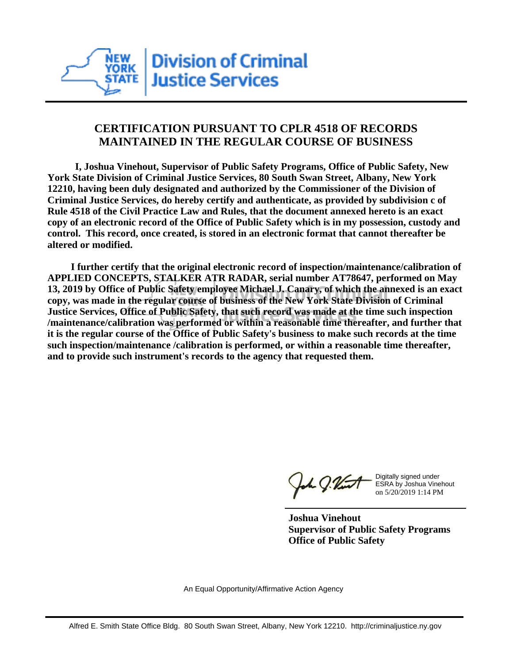

## **CERTIFICATION PURSUANT TO CPLR 4518 OF RECORDS MAINTAINED IN THE REGULAR COURSE OF BUSINESS**

 **I, Joshua Vinehout, Supervisor of Public Safety Programs, Office of Public Safety, New York State Division of Criminal Justice Services, 80 South Swan Street, Albany, New York 12210, having been duly designated and authorized by the Commissioner of the Division of Criminal Justice Services, do hereby certify and authenticate, as provided by subdivision c of Rule 4518 of the Civil Practice Law and Rules, that the document annexed hereto is an exact copy of an electronic record of the Office of Public Safety which is in my possession, custody and control. This record, once created, is stored in an electronic format that cannot thereafter be altered or modified.**

 **I further certify that the original electronic record of inspection/maintenance/calibration of APPLIED CONCEPTS, STALKER ATR RADAR, serial number AT78647, performed on May 13, 2019 by Office of Public Safety employee Michael J. Canary, of which the annexed is an exact copy, was made in the regular course of business of the New York State Division of Criminal Justice Services, Office of Public Safety, that such record was made at the time such inspection /maintenance/calibration was performed or within a reasonable time thereafter, and further that it is the regular course of the Office of Public Safety's business to make such records at the time such inspection/maintenance /calibration is performed, or within a reasonable time thereafter, and to provide such instrument's records to the agency that requested them.**

the J. Vint

Digitally signed under ESRA by Joshua Vinehout on 5/20/2019 1:14 PM

**Joshua Vinehout Supervisor of Public Safety Programs Office of Public Safety**

An Equal Opportunity/Affirmative Action Agency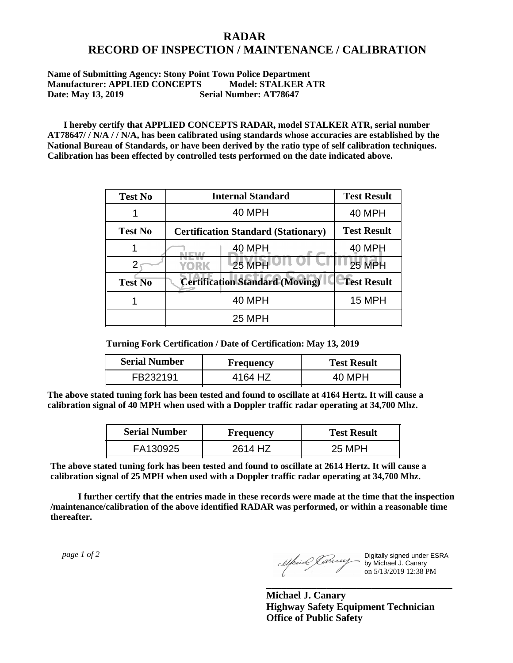## **RADAR RECORD OF INSPECTION / MAINTENANCE / CALIBRATION**

**Name of Submitting Agency: Stony Point Town Police Department Manufacturer: APPLIED CONCEPTS Model: STALKER ATR Date: May 13, 2019 Serial Number: AT78647**

 **I hereby certify that APPLIED CONCEPTS RADAR, model STALKER ATR, serial number AT78647/ / N/A / / N/A, has been calibrated using standards whose accuracies are established by the National Bureau of Standards, or have been derived by the ratio type of self calibration techniques. Calibration has been effected by controlled tests performed on the date indicated above.**

| <b>Test No</b> | <b>Internal Standard</b>                   | <b>Test Result</b> |
|----------------|--------------------------------------------|--------------------|
|                | 40 MPH                                     | <b>40 MPH</b>      |
| <b>Test No</b> | <b>Certification Standard (Stationary)</b> | <b>Test Result</b> |
|                | 40 MPH                                     | 40 MPH             |
|                | 25 MPH<br>YORK                             | <b>25 MPH</b>      |
| <b>Test No</b> | <b>Certification Standard (Moving)</b>     | <b>Test Result</b> |
|                | <b>40 MPH</b>                              | <b>15 MPH</b>      |
|                | <b>25 MPH</b>                              |                    |

**Turning Fork Certification / Date of Certification: May 13, 2019**

| <b>Serial Number</b> | <b>Frequency</b> | <b>Test Result</b> |
|----------------------|------------------|--------------------|
| FB232191             | 4164 HZ          |                    |

**The above stated tuning fork has been tested and found to oscillate at 4164 Hertz. It will cause a calibration signal of 40 MPH when used with a Doppler traffic radar operating at 34,700 Mhz.**

| <b>Serial Number</b> | Frequency | <b>Test Result</b> |
|----------------------|-----------|--------------------|
| FA130925             | 2614 HZ   | 25 MPH             |

**The above stated tuning fork has been tested and found to oscillate at 2614 Hertz. It will cause a calibration signal of 25 MPH when used with a Doppler traffic radar operating at 34,700 Mhz.**

 **I further certify that the entries made in these records were made at the time that the inspection /maintenance/calibration of the above identified RADAR was performed, or within a reasonable time thereafter.**

 *page 1 of 2* 

Digitally signed under ESRA by Michael J. Canary on 5/13/2019 12:38 PM

**Michael J. Canary Highway Safety Equipment Technician Office of Public Safety**

**\_\_\_\_\_\_\_\_\_\_\_\_\_\_\_\_\_\_\_\_\_\_\_\_\_\_\_\_\_\_\_\_\_\_\_\_\_**